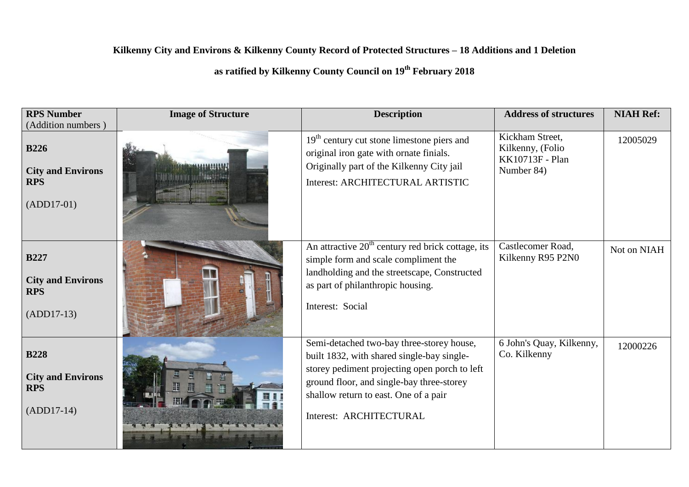## **Kilkenny City and Environs & Kilkenny County Record of Protected Structures – 18 Additions and 1 Deletion**

## **as ratified by Kilkenny County Council on 19th February 2018**

| <b>RPS Number</b><br>(Addition numbers)                               | <b>Image of Structure</b> | <b>Description</b>                                                                                                                                                                                                                                        | <b>Address of structures</b>                                         | <b>NIAH Ref:</b> |
|-----------------------------------------------------------------------|---------------------------|-----------------------------------------------------------------------------------------------------------------------------------------------------------------------------------------------------------------------------------------------------------|----------------------------------------------------------------------|------------------|
| <b>B226</b><br><b>City and Environs</b><br><b>RPS</b><br>$(ADD17-01)$ |                           | $19th$ century cut stone limestone piers and<br>original iron gate with ornate finials.<br>Originally part of the Kilkenny City jail<br>Interest: ARCHITECTURAL ARTISTIC                                                                                  | Kickham Street,<br>Kilkenny, (Folio<br>KK10713F - Plan<br>Number 84) | 12005029         |
| <b>B227</b><br><b>City and Environs</b><br><b>RPS</b><br>$(ADD17-13)$ |                           | An attractive $20th$ century red brick cottage, its<br>simple form and scale compliment the<br>landholding and the streetscape, Constructed<br>as part of philanthropic housing.<br>Interest: Social                                                      | Castlecomer Road,<br>Kilkenny R95 P2N0                               | Not on NIAH      |
| <b>B228</b><br><b>City and Environs</b><br><b>RPS</b><br>$(ADD17-14)$ |                           | Semi-detached two-bay three-storey house,<br>built 1832, with shared single-bay single-<br>storey pediment projecting open porch to left<br>ground floor, and single-bay three-storey<br>shallow return to east. One of a pair<br>Interest: ARCHITECTURAL | 6 John's Quay, Kilkenny,<br>Co. Kilkenny                             | 12000226         |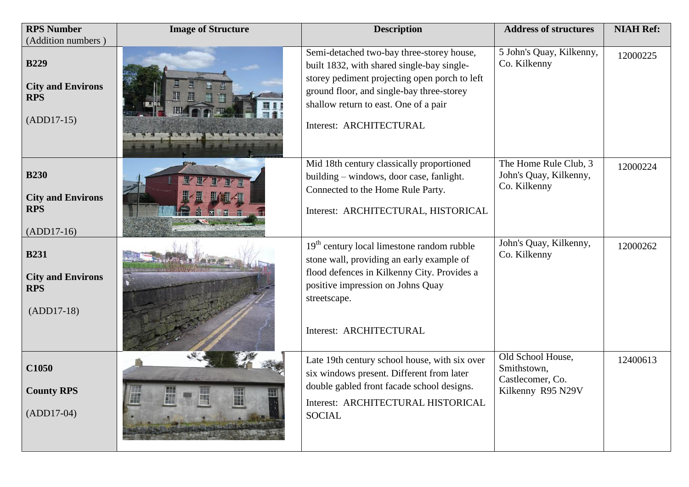| <b>RPS Number</b>                                                     | <b>Image of Structure</b> | <b>Description</b>                                                                                                                                                                                                                                        | <b>Address of structures</b>                                              | <b>NIAH Ref:</b> |
|-----------------------------------------------------------------------|---------------------------|-----------------------------------------------------------------------------------------------------------------------------------------------------------------------------------------------------------------------------------------------------------|---------------------------------------------------------------------------|------------------|
| (Addition numbers)                                                    |                           |                                                                                                                                                                                                                                                           |                                                                           |                  |
| <b>B229</b><br><b>City and Environs</b><br><b>RPS</b><br>$(ADD17-15)$ |                           | Semi-detached two-bay three-storey house,<br>built 1832, with shared single-bay single-<br>storey pediment projecting open porch to left<br>ground floor, and single-bay three-storey<br>shallow return to east. One of a pair<br>Interest: ARCHITECTURAL | 5 John's Quay, Kilkenny,<br>Co. Kilkenny                                  | 12000225         |
| <b>B230</b><br><b>City and Environs</b><br><b>RPS</b><br>$(ADD17-16)$ |                           | Mid 18th century classically proportioned<br>building - windows, door case, fanlight.<br>Connected to the Home Rule Party.<br>Interest: ARCHITECTURAL, HISTORICAL                                                                                         | The Home Rule Club, 3<br>John's Quay, Kilkenny,<br>Co. Kilkenny           | 12000224         |
| <b>B231</b><br><b>City and Environs</b><br><b>RPS</b><br>$(ADD17-18)$ |                           | $19th$ century local limestone random rubble<br>stone wall, providing an early example of<br>flood defences in Kilkenny City. Provides a<br>positive impression on Johns Quay<br>streetscape.<br>Interest: ARCHITECTURAL                                  | John's Quay, Kilkenny,<br>Co. Kilkenny                                    | 12000262         |
| C1050<br><b>County RPS</b><br>$(ADD17-04)$                            | ₩                         | Late 19th century school house, with six over<br>six windows present. Different from later<br>double gabled front facade school designs.<br>Interest: ARCHITECTURAL HISTORICAL<br><b>SOCIAL</b>                                                           | Old School House,<br>Smithstown,<br>Castlecomer, Co.<br>Kilkenny R95 N29V | 12400613         |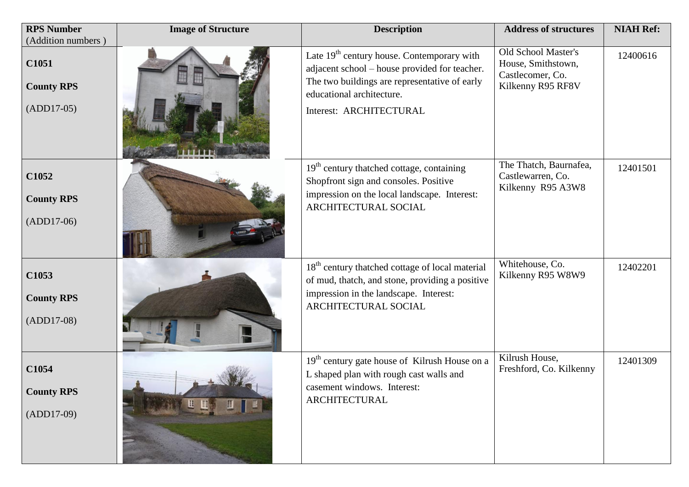| <b>RPS Number</b>                          | <b>Image of Structure</b> | <b>Description</b>                                                                                                                                                                                     | <b>Address of structures</b>                                                       | <b>NIAH Ref:</b> |
|--------------------------------------------|---------------------------|--------------------------------------------------------------------------------------------------------------------------------------------------------------------------------------------------------|------------------------------------------------------------------------------------|------------------|
| (Addition numbers)                         |                           |                                                                                                                                                                                                        |                                                                                    |                  |
| C1051<br><b>County RPS</b><br>$(ADD17-05)$ |                           | Late $19th$ century house. Contemporary with<br>adjacent school - house provided for teacher.<br>The two buildings are representative of early<br>educational architecture.<br>Interest: ARCHITECTURAL | Old School Master's<br>House, Smithstown,<br>Castlecomer, Co.<br>Kilkenny R95 RF8V | 12400616         |
| C1052<br><b>County RPS</b><br>$(ADD17-06)$ |                           | $19th$ century thatched cottage, containing<br>Shopfront sign and consoles. Positive<br>impression on the local landscape. Interest:<br>ARCHITECTURAL SOCIAL                                           | The Thatch, Baurnafea,<br>Castlewarren, Co.<br>Kilkenny R95 A3W8                   | 12401501         |
| C1053<br><b>County RPS</b><br>$(ADD17-08)$ |                           | 18 <sup>th</sup> century thatched cottage of local material<br>of mud, thatch, and stone, providing a positive<br>impression in the landscape. Interest:<br>ARCHITECTURAL SOCIAL                       | Whitehouse, Co.<br>Kilkenny R95 W8W9                                               | 12402201         |
| C1054<br><b>County RPS</b><br>$(ADD17-09)$ | <b>LEW</b>                | 19 <sup>th</sup> century gate house of Kilrush House on a<br>L shaped plan with rough cast walls and<br>casement windows. Interest:<br><b>ARCHITECTURAL</b>                                            | Kilrush House,<br>Freshford, Co. Kilkenny                                          | 12401309         |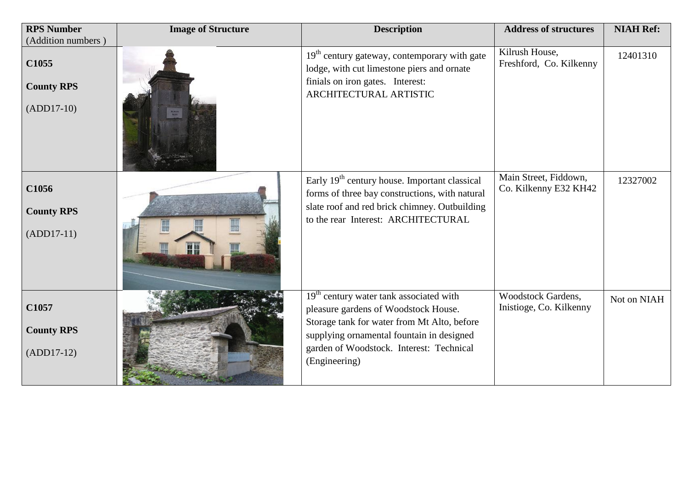| <b>RPS Number</b><br>(Addition numbers)    | <b>Image of Structure</b> | <b>Description</b>                                                                                                                                                                                                                                   | <b>Address of structures</b>                   | <b>NIAH Ref:</b> |
|--------------------------------------------|---------------------------|------------------------------------------------------------------------------------------------------------------------------------------------------------------------------------------------------------------------------------------------------|------------------------------------------------|------------------|
| C1055<br><b>County RPS</b><br>$(ADD17-10)$ |                           | $19th$ century gateway, contemporary with gate<br>lodge, with cut limestone piers and ornate<br>finials on iron gates. Interest:<br>ARCHITECTURAL ARTISTIC                                                                                           | Kilrush House,<br>Freshford, Co. Kilkenny      | 12401310         |
| C1056<br><b>County RPS</b><br>$(ADD17-11)$ | 周初                        | Early 19 <sup>th</sup> century house. Important classical<br>forms of three bay constructions, with natural<br>slate roof and red brick chimney. Outbuilding<br>to the rear Interest: ARCHITECTURAL                                                  | Main Street, Fiddown,<br>Co. Kilkenny E32 KH42 | 12327002         |
| C1057<br><b>County RPS</b><br>$(ADD17-12)$ |                           | 19 <sup>th</sup> century water tank associated with<br>pleasure gardens of Woodstock House.<br>Storage tank for water from Mt Alto, before<br>supplying ornamental fountain in designed<br>garden of Woodstock. Interest: Technical<br>(Engineering) | Woodstock Gardens,<br>Inistioge, Co. Kilkenny  | Not on NIAH      |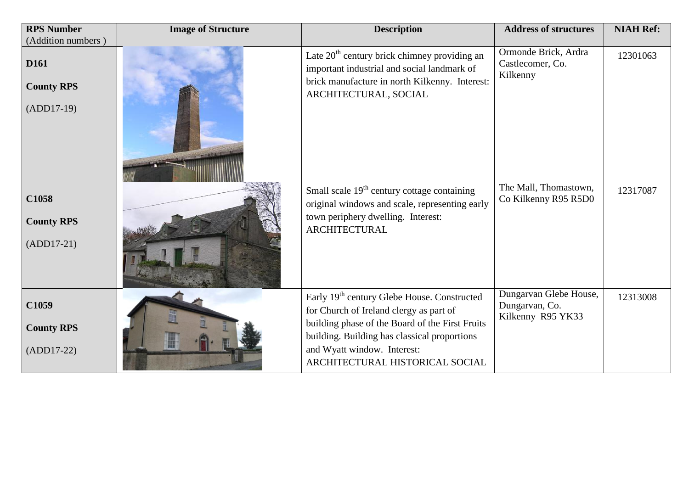| <b>RPS Number</b><br>(Addition numbers)               | <b>Image of Structure</b> | <b>Description</b>                                                                                                                                                                                                                                                      | <b>Address of structures</b>                                  | <b>NIAH Ref:</b> |
|-------------------------------------------------------|---------------------------|-------------------------------------------------------------------------------------------------------------------------------------------------------------------------------------------------------------------------------------------------------------------------|---------------------------------------------------------------|------------------|
| D <sub>161</sub><br><b>County RPS</b><br>$(ADD17-19)$ |                           | Late $20th$ century brick chimney providing an<br>important industrial and social landmark of<br>brick manufacture in north Kilkenny. Interest:<br>ARCHITECTURAL, SOCIAL                                                                                                | Ormonde Brick, Ardra<br>Castlecomer, Co.<br>Kilkenny          | 12301063         |
| C1058<br><b>County RPS</b><br>$(ADD17-21)$            |                           | Small scale 19 <sup>th</sup> century cottage containing<br>original windows and scale, representing early<br>town periphery dwelling. Interest:<br><b>ARCHITECTURAL</b>                                                                                                 | The Mall, Thomastown,<br>Co Kilkenny R95 R5D0                 | 12317087         |
| C1059<br><b>County RPS</b><br>$(ADD17-22)$            |                           | Early 19 <sup>th</sup> century Glebe House. Constructed<br>for Church of Ireland clergy as part of<br>building phase of the Board of the First Fruits<br>building. Building has classical proportions<br>and Wyatt window. Interest:<br>ARCHITECTURAL HISTORICAL SOCIAL | Dungarvan Glebe House,<br>Dungarvan, Co.<br>Kilkenny R95 YK33 | 12313008         |